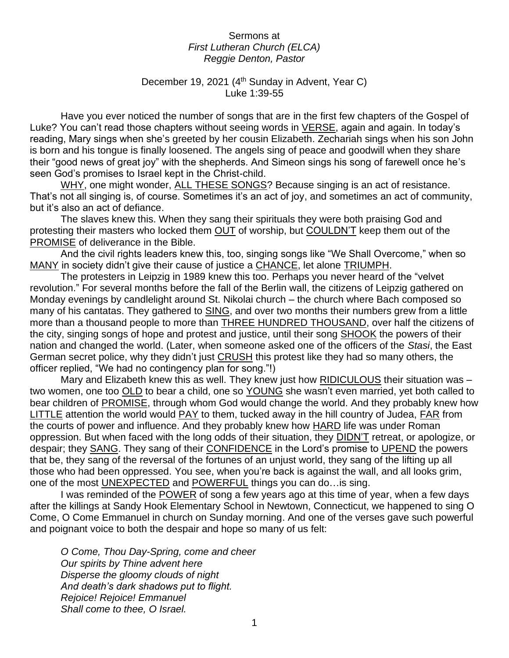## Sermons at *First Lutheran Church (ELCA) Reggie Denton, Pastor*

## December 19, 2021 (4<sup>th</sup> Sunday in Advent, Year C) Luke 1:39-55

Have you ever noticed the number of songs that are in the first few chapters of the Gospel of Luke? You can't read those chapters without seeing words in VERSE, again and again. In today's reading, Mary sings when she's greeted by her cousin Elizabeth. Zechariah sings when his son John is born and his tongue is finally loosened. The angels sing of peace and goodwill when they share their "good news of great joy" with the shepherds. And Simeon sings his song of farewell once he's seen God's promises to Israel kept in the Christ-child.

WHY, one might wonder, ALL THESE SONGS? Because singing is an act of resistance. That's not all singing is, of course. Sometimes it's an act of joy, and sometimes an act of community, but it's also an act of defiance.

The slaves knew this. When they sang their spirituals they were both praising God and protesting their masters who locked them OUT of worship, but COULDN'T keep them out of the PROMISE of deliverance in the Bible.

And the civil rights leaders knew this, too, singing songs like "We Shall Overcome," when so MANY in society didn't give their cause of justice a CHANCE, let alone TRIUMPH.

The protesters in Leipzig in 1989 knew this too. Perhaps you never heard of the "velvet revolution." For several months before the fall of the Berlin wall, the citizens of Leipzig gathered on Monday evenings by candlelight around St. Nikolai church – the church where Bach composed so many of his cantatas. They gathered to SING, and over two months their numbers grew from a little more than a thousand people to more than **THREE HUNDRED THOUSAND**, over half the citizens of the city, singing songs of hope and protest and justice, until their song SHOOK the powers of their nation and changed the world. (Later, when someone asked one of the officers of the *Stasi*, the East German secret police, why they didn't just CRUSH this protest like they had so many others, the officer replied, "We had no contingency plan for song."!)

Mary and Elizabeth knew this as well. They knew just how RIDICULOUS their situation was two women, one too OLD to bear a child, one so YOUNG she wasn't even married, yet both called to bear children of PROMISE, through whom God would change the world. And they probably knew how LITTLE attention the world would PAY to them, tucked away in the hill country of Judea, FAR from the courts of power and influence. And they probably knew how HARD life was under Roman oppression. But when faced with the long odds of their situation, they DIDN'T retreat, or apologize, or despair; they SANG. They sang of their CONFIDENCE in the Lord's promise to UPEND the powers that be, they sang of the reversal of the fortunes of an unjust world, they sang of the lifting up all those who had been oppressed. You see, when you're back is against the wall, and all looks grim, one of the most UNEXPECTED and POWERFUL things you can do…is sing.

I was reminded of the POWER of song a few years ago at this time of year, when a few days after the killings at Sandy Hook Elementary School in Newtown, Connecticut, we happened to sing O Come, O Come Emmanuel in church on Sunday morning. And one of the verses gave such powerful and poignant voice to both the despair and hope so many of us felt:

*O Come, Thou Day-Spring, come and cheer Our spirits by Thine advent here Disperse the gloomy clouds of night And death's dark shadows put to flight. Rejoice! Rejoice! Emmanuel Shall come to thee, O Israel.*